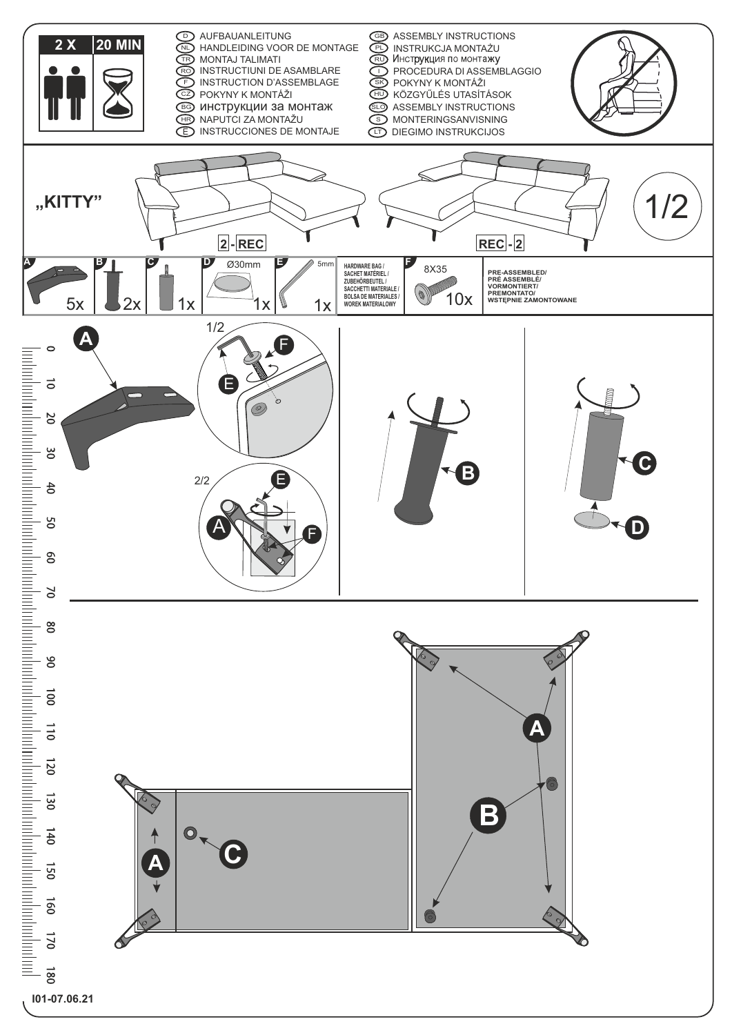